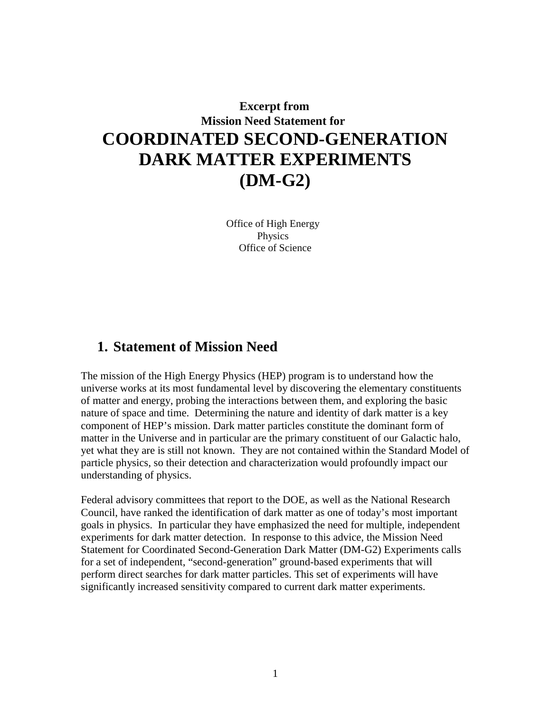# **Excerpt from Mission Need Statement for COORDINATED SECOND-GENERATION DARK MATTER EXPERIMENTS (DM-G2)**

Office of High Energy Physics Office of Science

## **1. Statement of Mission Need**

The mission of the High Energy Physics (HEP) program is to understand how the universe works at its most fundamental level by discovering the elementary constituents of matter and energy, probing the interactions between them, and exploring the basic nature of space and time. Determining the nature and identity of dark matter is a key component of HEP's mission. Dark matter particles constitute the dominant form of matter in the Universe and in particular are the primary constituent of our Galactic halo, yet what they are is still not known. They are not contained within the Standard Model of particle physics, so their detection and characterization would profoundly impact our understanding of physics.

Federal advisory committees that report to the DOE, as well as the National Research Council, have ranked the identification of dark matter as one of today's most important goals in physics. In particular they have emphasized the need for multiple, independent experiments for dark matter detection. In response to this advice, the Mission Need Statement for Coordinated Second-Generation Dark Matter (DM-G2) Experiments calls for a set of independent, "second-generation" ground-based experiments that will perform direct searches for dark matter particles. This set of experiments will have significantly increased sensitivity compared to current dark matter experiments.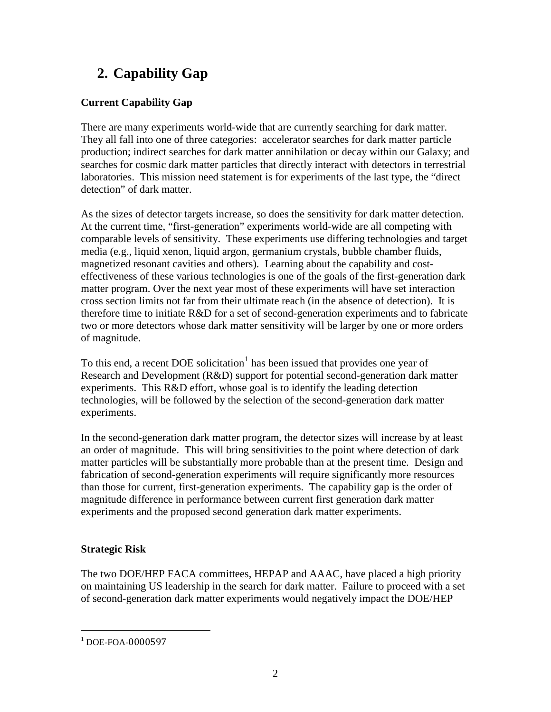# **2. Capability Gap**

## **Current Capability Gap**

There are many experiments world-wide that are currently searching for dark matter. They all fall into one of three categories: accelerator searches for dark matter particle production; indirect searches for dark matter annihilation or decay within our Galaxy; and searches for cosmic dark matter particles that directly interact with detectors in terrestrial laboratories. This mission need statement is for experiments of the last type, the "direct detection" of dark matter.

As the sizes of detector targets increase, so does the sensitivity for dark matter detection. At the current time, "first-generation" experiments world-wide are all competing with comparable levels of sensitivity. These experiments use differing technologies and target media (e.g., liquid xenon, liquid argon, germanium crystals, bubble chamber fluids, magnetized resonant cavities and others). Learning about the capability and costeffectiveness of these various technologies is one of the goals of the first-generation dark matter program. Over the next year most of these experiments will have set interaction cross section limits not far from their ultimate reach (in the absence of detection). It is therefore time to initiate R&D for a set of second-generation experiments and to fabricate two or more detectors whose dark matter sensitivity will be larger by one or more orders of magnitude.

To this end, a recent DOE solicitation<sup>[1](#page-1-0)</sup> has been issued that provides one year of Research and Development (R&D) support for potential second-generation dark matter experiments. This R&D effort, whose goal is to identify the leading detection technologies, will be followed by the selection of the second-generation dark matter experiments.

In the second-generation dark matter program, the detector sizes will increase by at least an order of magnitude. This will bring sensitivities to the point where detection of dark matter particles will be substantially more probable than at the present time. Design and fabrication of second-generation experiments will require significantly more resources than those for current, first-generation experiments. The capability gap is the order of magnitude difference in performance between current first generation dark matter experiments and the proposed second generation dark matter experiments.

## **Strategic Risk**

The two DOE/HEP FACA committees, HEPAP and AAAC, have placed a high priority on maintaining US leadership in the search for dark matter. Failure to proceed with a set of second-generation dark matter experiments would negatively impact the DOE/HEP

<span id="page-1-0"></span> $^{1}$  DOE-FOA-0000597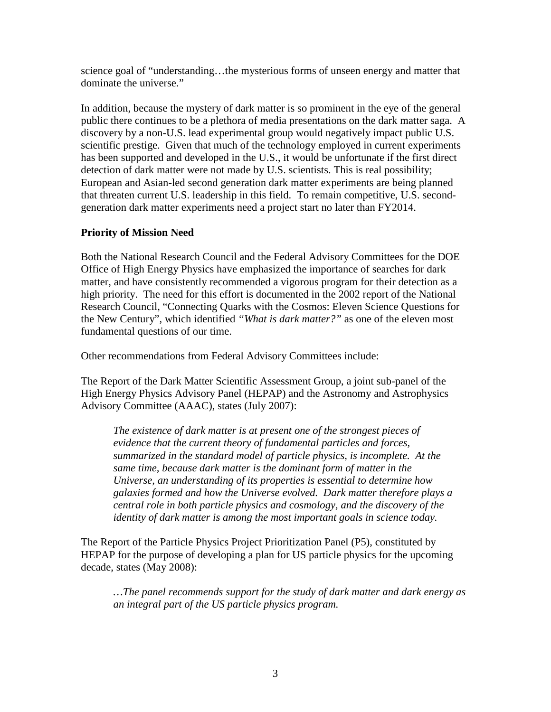science goal of "understanding…the mysterious forms of unseen energy and matter that dominate the universe."

In addition, because the mystery of dark matter is so prominent in the eye of the general public there continues to be a plethora of media presentations on the dark matter saga. A discovery by a non-U.S. lead experimental group would negatively impact public U.S. scientific prestige. Given that much of the technology employed in current experiments has been supported and developed in the U.S., it would be unfortunate if the first direct detection of dark matter were not made by U.S. scientists. This is real possibility; European and Asian-led second generation dark matter experiments are being planned that threaten current U.S. leadership in this field. To remain competitive, U.S. secondgeneration dark matter experiments need a project start no later than FY2014.

### **Priority of Mission Need**

Both the National Research Council and the Federal Advisory Committees for the DOE Office of High Energy Physics have emphasized the importance of searches for dark matter, and have consistently recommended a vigorous program for their detection as a high priority. The need for this effort is documented in the 2002 report of the National Research Council, "Connecting Quarks with the Cosmos: Eleven Science Questions for the New Century", which identified *"What is dark matter?"* as one of the eleven most fundamental questions of our time.

Other recommendations from Federal Advisory Committees include:

The Report of the Dark Matter Scientific Assessment Group, a joint sub-panel of the High Energy Physics Advisory Panel (HEPAP) and the Astronomy and Astrophysics Advisory Committee (AAAC), states (July 2007):

*The existence of dark matter is at present one of the strongest pieces of evidence that the current theory of fundamental particles and forces, summarized in the standard model of particle physics, is incomplete. At the same time, because dark matter is the dominant form of matter in the Universe, an understanding of its properties is essential to determine how galaxies formed and how the Universe evolved. Dark matter therefore plays a central role in both particle physics and cosmology, and the discovery of the identity of dark matter is among the most important goals in science today.*

The Report of the Particle Physics Project Prioritization Panel (P5), constituted by HEPAP for the purpose of developing a plan for US particle physics for the upcoming decade, states (May 2008):

*…The panel recommends support for the study of dark matter and dark energy as an integral part of the US particle physics program.*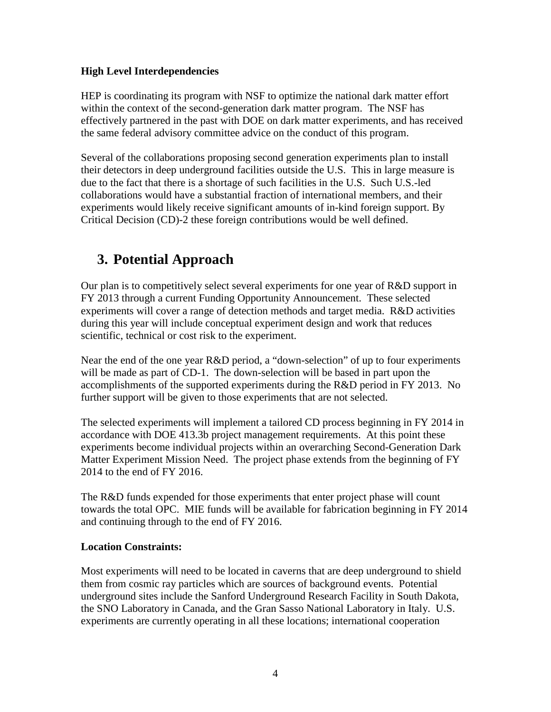### **High Level Interdependencies**

HEP is coordinating its program with NSF to optimize the national dark matter effort within the context of the second-generation dark matter program. The NSF has effectively partnered in the past with DOE on dark matter experiments, and has received the same federal advisory committee advice on the conduct of this program.

Several of the collaborations proposing second generation experiments plan to install their detectors in deep underground facilities outside the U.S. This in large measure is due to the fact that there is a shortage of such facilities in the U.S. Such U.S.-led collaborations would have a substantial fraction of international members, and their experiments would likely receive significant amounts of in-kind foreign support. By Critical Decision (CD)-2 these foreign contributions would be well defined.

# **3. Potential Approach**

Our plan is to competitively select several experiments for one year of R&D support in FY 2013 through a current Funding Opportunity Announcement. These selected experiments will cover a range of detection methods and target media. R&D activities during this year will include conceptual experiment design and work that reduces scientific, technical or cost risk to the experiment.

Near the end of the one year R&D period, a "down-selection" of up to four experiments will be made as part of CD-1. The down-selection will be based in part upon the accomplishments of the supported experiments during the R&D period in FY 2013. No further support will be given to those experiments that are not selected.

The selected experiments will implement a tailored CD process beginning in FY 2014 in accordance with DOE 413.3b project management requirements. At this point these experiments become individual projects within an overarching Second-Generation Dark Matter Experiment Mission Need. The project phase extends from the beginning of FY 2014 to the end of FY 2016.

The R&D funds expended for those experiments that enter project phase will count towards the total OPC. MIE funds will be available for fabrication beginning in FY 2014 and continuing through to the end of FY 2016.

### **Location Constraints:**

Most experiments will need to be located in caverns that are deep underground to shield them from cosmic ray particles which are sources of background events. Potential underground sites include the Sanford Underground Research Facility in South Dakota, the SNO Laboratory in Canada, and the Gran Sasso National Laboratory in Italy. U.S. experiments are currently operating in all these locations; international cooperation